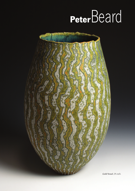## **Peter**Beard



*Gold Vessel. 29 cm/h.*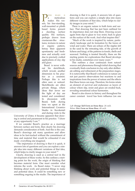

**PETER BEARD IS**<br> **a** meticulous<br>
maker. His ves-<br>
sels, his free-standing, a meticulous maker. His veswall-mounted or plinth based forms present a dazzling surface quality. His surfaces, perhaps drawn from crustacean-like structures, textures in nature or organic pattern, betray their apparent spontaneity and freshness and actually exist due to precisely crafted applications of clay slip and glaze.

Beard is never without his sketchbook, which reveals another dimension to his practice as a ceramist. Perhaps this is not often seen or noticed. Sketchbooks are often private things, where ideas that never see the light of day are tested and considered. In discussion with Beard, both during time we spent at the International Ceramics Studio in Kecskemét and during visits to the

University of Ulster, it became apparent that drawing is central and paramount to his practice. "I draw at any opportunity I can."1

If we consider Beard's practice as a marriage between surface and form, then clearly his drawing demands consideration of both. And this is the case. Beard's drawings ask many questions and allow ideas to be fast-tracked without the commitment of time and material that would be exhausted if one made everything one imagined.

"The importance of drawing is that it is quick, it answers lots of questions and you can explore a simple idea into many different variations of that idea, which helps to clarify images in your mind."<sup>2</sup>

Clearly, drawing is used as a central tool in the development of these works. So this outlines a starting point for the work, the origin of thinking that becomes material form. One must consider what informs the work. As Beard states: "I never stop thinking about work and potential things to make and potential ideas. It could be something new or something ongoing in the studio. The importance of drawing is that it is quick, it answers lots of questions and you can explore a simple idea into many different variations of that idea, which helps to clarify images in your mind."3

There is an organic nature to both form and surface. That drawing that has just been outlined for its importance does not stop there. Drawing occurs again from slip to glaze to wax resist, back to glaze on the surface of the work. And what inspires this?

"Much of the work is inspired by nature, particularly landscape and its formation by the forces of wind and water. There are echoes of the ripples left in the sand by the retreating tide, of the growth of lichens and fungi, of the patterns in fossils, shells and seaweed. Nothing is treated literally; these are the starting points for explorations that Beard develops in his studio, sometimes over many years."4

This outlines a clear continuum from natural sources and phenomena through initial drawing that eventually finds conclusion in clay only after deliberate editing and refinement at the preparation stages. It is noteworthy that Beard's references to nature are not just passive observations but reactions to and inspirations from the power of nature and the effects that these forces can reap. Therefore, his forms retain an element of survival and endurance as layers of colour where slip, resist and glaze are eroded back, revealing sensational colour harmonies.

Beard is also drawn to history and throughout his career constant travel has born influence (on one

*Left: Orange Tall Form on Stone Base. 28 cm/h. Below: Disc Form on Stone Base. 49 cm/h.*